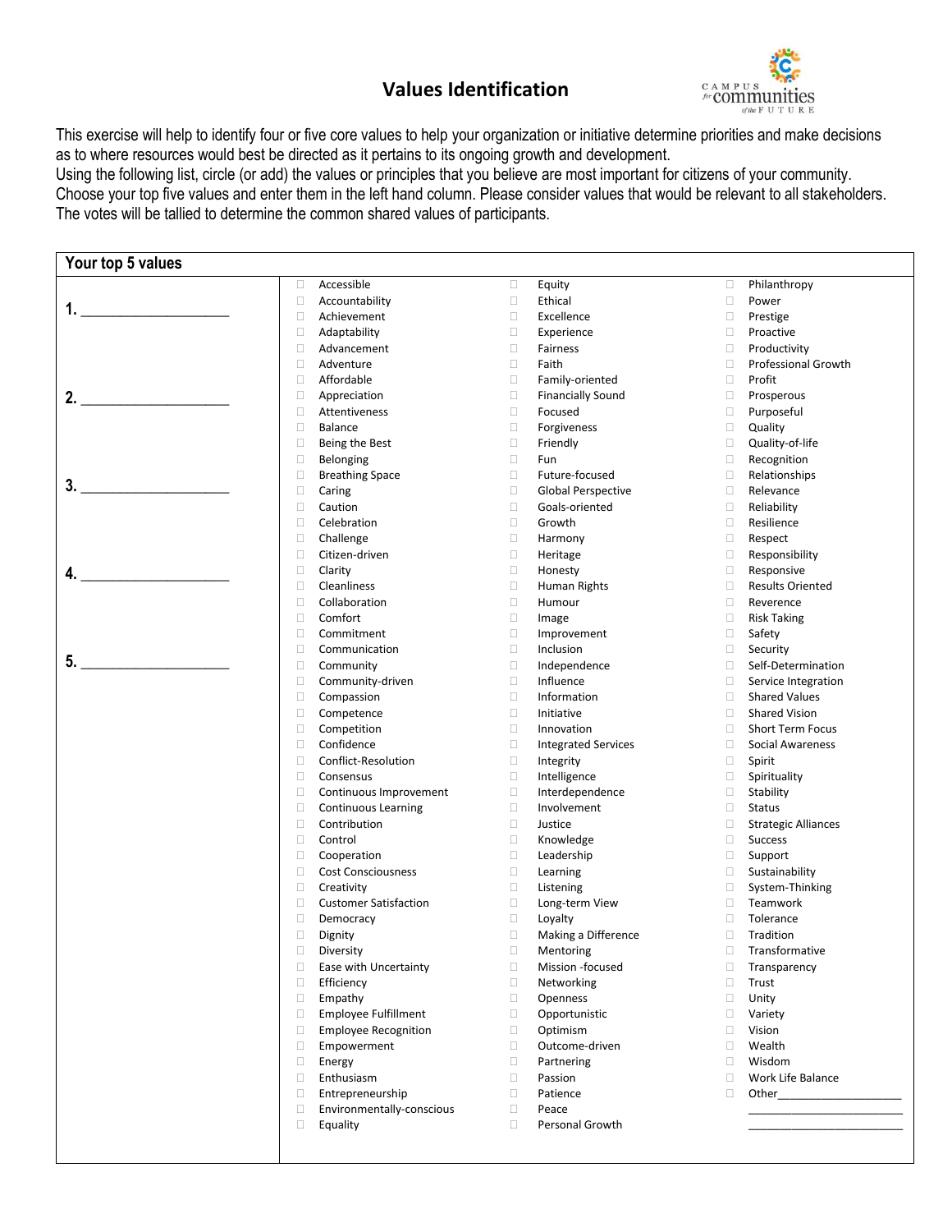## **Values Identification**



This exercise will help to identify four or five core values to help your organization or initiative determine priorities and make decisions as to where resources would best be directed as it pertains to its ongoing growth and development.

Using the following list, circle (or add) the values or principles that you believe are most important for citizens of your community. Choose your top five values and enter them in the left hand column. Please consider values that would be relevant to all stakeholders. The votes will be tallied to determine the common shared values of participants.

| Your top 5 values |                                       |        |                            |                  |                                             |
|-------------------|---------------------------------------|--------|----------------------------|------------------|---------------------------------------------|
|                   | $\Box$<br>Accessible                  | о      | Equity                     | $\Box$           | Philanthropy                                |
|                   | $\Box$<br>Accountability              | $\Box$ | Ethical                    | $\Box$           | Power                                       |
| 1.                | $\Box$<br>Achievement                 | $\Box$ | Excellence                 | $\Box$           | Prestige                                    |
|                   | $\Box$<br>Adaptability                | Ω      | Experience                 | 0                | Proactive                                   |
|                   | $\Box$<br>Advancement                 | о      | Fairness                   | $\Box$           | Productivity                                |
|                   | $\Box$<br>Adventure                   | □      | Faith                      | $\Box$           | <b>Professional Growth</b>                  |
|                   | Affordable<br>$\Box$                  | □      | Family-oriented            | $\Box$           | Profit                                      |
| 2.                | $\Box$<br>Appreciation                | □      | <b>Financially Sound</b>   | $\Box$           | Prosperous                                  |
|                   | $\Box$<br>Attentiveness               | $\Box$ | Focused                    | $\Box$           | Purposeful                                  |
|                   | $\Box$<br>Balance                     | $\Box$ | Forgiveness                | $\Box$           | Quality                                     |
|                   | $\Box$<br>Being the Best              | □      | Friendly                   | $\Box$           | Quality-of-life                             |
|                   | $\Box$<br>Belonging                   | о      | Fun                        | $\Box$           | Recognition                                 |
|                   | $\Box$<br><b>Breathing Space</b>      | □      | Future-focused             | $\Box$           | Relationships                               |
| 3.                | $\Box$<br>Caring                      | Ω      | <b>Global Perspective</b>  | $\Box$           | Relevance                                   |
|                   | $\Box$<br>Caution                     | □      | Goals-oriented             | $\Box$           | Reliability                                 |
|                   | $\Box$<br>Celebration                 | □      | Growth                     | $\Box$           | Resilience                                  |
|                   | $\Box$<br>Challenge                   | о      | Harmony                    | $\Box$           | Respect                                     |
|                   | $\Box$<br>Citizen-driven              | □      | Heritage                   | $\Box$           | Responsibility                              |
|                   | $\Box$<br>Clarity                     | □      | Honesty                    | $\Box$           | Responsive                                  |
| 4.                | $\Box$<br>Cleanliness                 | □      | Human Rights               | $\Box$           | <b>Results Oriented</b>                     |
|                   | $\Box$<br>Collaboration               | □      | Humour                     | $\Box$           | Reverence                                   |
|                   | Comfort<br>$\Box$                     | о      | Image                      | $\Box$           | <b>Risk Taking</b>                          |
|                   | $\Box$<br>Commitment                  | □      | Improvement                | $\Box$           | Safety                                      |
|                   | $\Box$<br>Communication               | □      | Inclusion                  | $\Box$           | Security                                    |
| 5.                | $\Box$                                | $\Box$ | Independence               | $\Box$           | Self-Determination                          |
|                   | Community<br>$\Box$                   | □      | Influence                  | $\Box$           |                                             |
|                   | Community-driven                      | Ω      | Information                |                  | Service Integration<br><b>Shared Values</b> |
|                   | $\Box$<br>Compassion<br>$\Box$        | $\Box$ |                            | $\Box$<br>$\Box$ |                                             |
|                   | Competence                            |        | Initiative                 |                  | <b>Shared Vision</b>                        |
|                   | $\Box$<br>Competition                 | $\Box$ | Innovation                 | $\Box$           | Short Term Focus                            |
|                   | $\Box$<br>Confidence                  | $\Box$ | <b>Integrated Services</b> | $\Box$           | Social Awareness                            |
|                   | $\Box$<br>Conflict-Resolution         | □      | Integrity                  | $\Box$           | Spirit                                      |
|                   | $\Box$<br>Consensus                   | $\Box$ | Intelligence               | $\Box$           | Spirituality                                |
|                   | $\Box$<br>Continuous Improvement      | $\Box$ | Interdependence            | $\Box$           | Stability                                   |
|                   | $\Box$<br>Continuous Learning         | Ω      | Involvement                | $\Box$           | <b>Status</b>                               |
|                   | $\Box$<br>Contribution                | $\Box$ | Justice                    | $\Box$           | <b>Strategic Alliances</b>                  |
|                   | $\Box$<br>Control                     | □      | Knowledge                  | $\Box$           | <b>Success</b>                              |
|                   | □<br>Cooperation                      | о      | Leadership                 | $\Box$           | Support                                     |
|                   | $\Box$<br><b>Cost Consciousness</b>   | $\Box$ | Learning                   | $\Box$           | Sustainability                              |
|                   | $\Box$<br>Creativity                  | $\Box$ | Listening                  | $\Box$           | System-Thinking                             |
|                   | □<br><b>Customer Satisfaction</b>     | $\Box$ | Long-term View             | $\Box$           | Teamwork                                    |
|                   | Ω<br>Democracy                        | Ω      | Loyalty                    | 0                | Tolerance                                   |
|                   | $\Box$<br>Dignity                     | о      | Making a Difference        | $\Box$           | Tradition                                   |
|                   | $\Box$<br>Diversity                   | $\Box$ | Mentoring                  | $\Box$           | Transformative                              |
|                   | $\Box$<br>Ease with Uncertainty       | о      | Mission -focused           | $\Box$           | Transparency                                |
|                   | $\Box$<br>Efficiency                  | 0      | Networking                 | $\Box$           | Trust                                       |
|                   | $\Box$<br>Empathy                     | □      | Openness                   | $\Box$           | Unity                                       |
|                   | $\Box$<br><b>Employee Fulfillment</b> | о      | Opportunistic              | $\Box$           | Variety                                     |
|                   | $\Box$<br><b>Employee Recognition</b> | о      | Optimism                   | $\Box$           | Vision                                      |
|                   | $\Box$<br>Empowerment                 | о      | Outcome-driven             | $\Box$           | Wealth                                      |
|                   | $\Box$<br>Energy                      | 0      | Partnering                 | $\Box$           | Wisdom                                      |
|                   | $\Box$<br>Enthusiasm                  | о      | Passion                    | $\Box$           | Work Life Balance                           |
|                   | $\Box$<br>Entrepreneurship            | о      | Patience                   | $\Box$           | Other                                       |
|                   | $\Box$<br>Environmentally-conscious   | Ω      | Peace                      |                  |                                             |
|                   | $\Box$<br>Equality                    | 0      | Personal Growth            |                  |                                             |
|                   |                                       |        |                            |                  |                                             |
|                   |                                       |        |                            |                  |                                             |